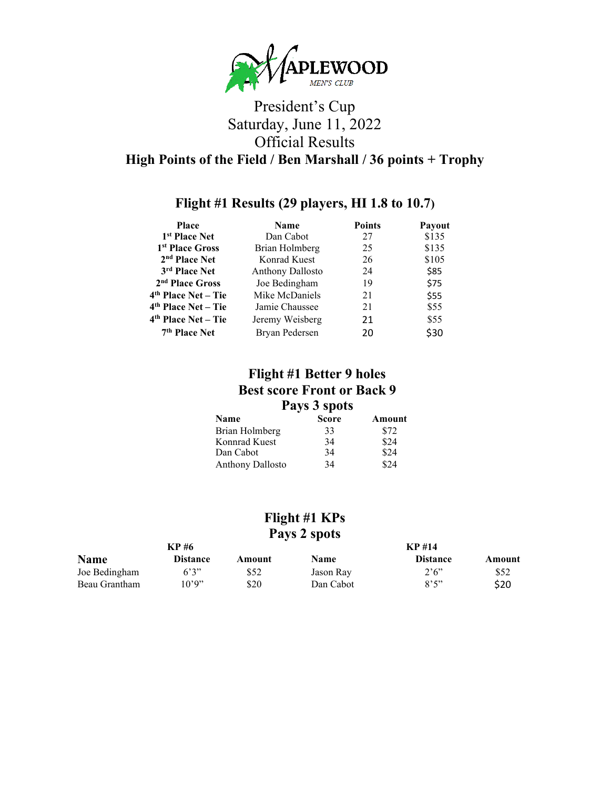

# **Flight #1 Results (29 players, HI 1.8 to 10.7)**

| <b>Place</b>                    | <b>Name</b>             | <b>Points</b> | Payout |
|---------------------------------|-------------------------|---------------|--------|
| 1 <sup>st</sup> Place Net       | Dan Cabot               | 27            | \$135  |
| 1 <sup>st</sup> Place Gross     | Brian Holmberg          | 25            | \$135  |
| 2 <sup>nd</sup> Place Net       | Konrad Kuest            | 26            | \$105  |
| 3rd Place Net                   | <b>Anthony Dallosto</b> | 24            | \$85   |
| 2 <sup>nd</sup> Place Gross     | Joe Bedingham           | 19            | \$75   |
| $4th$ Place Net – Tie           | Mike McDaniels          | 21            | \$55   |
| 4 <sup>th</sup> Place Net - Tie | Jamie Chaussee          | 21            | \$55   |
| $4th$ Place Net – Tie           | Jeremy Weisberg         | 21            | \$55   |
| 7 <sup>th</sup> Place Net       | Bryan Pedersen          | 20            | \$30   |

## **Flight #1 Better 9 holes Best score Front or Back 9 Pays 3 spots**

| Name                    | <b>Score</b> | Amount |
|-------------------------|--------------|--------|
| Brian Holmberg          | 33           | \$72   |
| Konnrad Kuest           | 34           | \$24   |
| Dan Cabot               | 34           | \$24   |
| <b>Anthony Dallosto</b> | 34           | \$24   |

### **Flight #1 KPs Pays 2 spots**

| KP #6         |                 | <b>KP</b> #14 |             |                 |        |
|---------------|-----------------|---------------|-------------|-----------------|--------|
| <b>Name</b>   | <b>Distance</b> | Amount        | <b>Name</b> | <b>Distance</b> | Amount |
| Joe Bedingham | 6,3,7           | \$52          | Jason Ray   | 2'6''           | \$52   |
| Beau Grantham | 10'9"           | \$20          | Dan Cabot   | 8,5,7           | \$20   |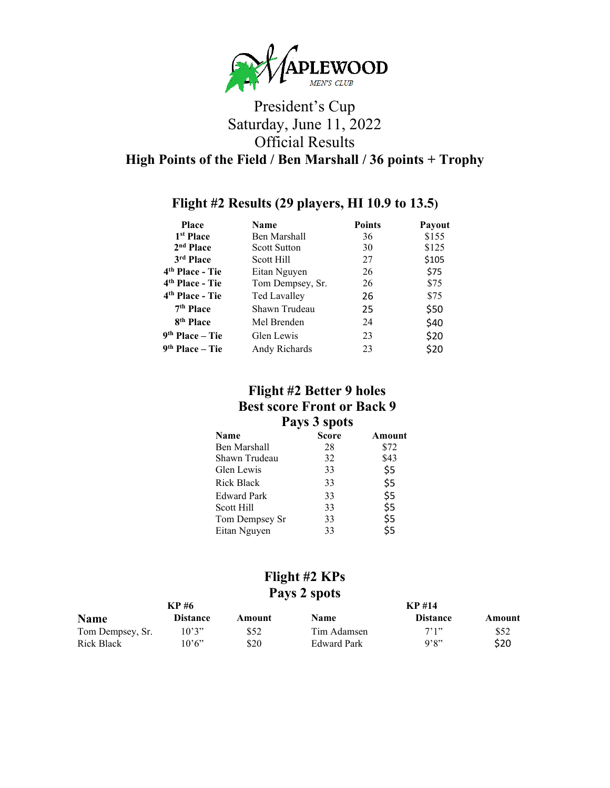

### **Flight #2 Results (29 players, HI 10.9 to 13.5)**

| Place                       | Name                | <b>Points</b> | Payout |
|-----------------------------|---------------------|---------------|--------|
| 1 <sup>st</sup> Place       | Ben Marshall        | 36            | \$155  |
| 2 <sup>nd</sup> Place       | <b>Scott Sutton</b> | 30            | \$125  |
| 3rd Place                   | Scott Hill          | 27            | \$105  |
| 4 <sup>th</sup> Place - Tie | Eitan Nguyen        | 26            | \$75   |
| 4 <sup>th</sup> Place - Tie | Tom Dempsey, Sr.    | 26            | \$75   |
| 4 <sup>th</sup> Place - Tie | <b>Ted Lavalley</b> | 26            | \$75   |
| 7 <sup>th</sup> Place       | Shawn Trudeau       | 25            | \$50   |
| 8 <sup>th</sup> Place       | Mel Brenden         | 24            | \$40   |
| $9th Place - Tie$           | Glen Lewis          | 23            | \$20   |
| $9th Place - Tie$           | Andy Richards       | 23            | \$20   |

## **Flight #2 Better 9 holes Best score Front or Back 9 Pays 3 spots**

| Score | Amount |
|-------|--------|
| 28    | \$72   |
| 32    | \$43   |
| 33    | \$5    |
| 33    | \$5    |
| 33    | \$5    |
| 33    | \$5    |
| 33    | \$5    |
| 33    | \$5    |
|       |        |

#### **Flight #2 KPs Pays 2 spots**

| KP #6            |                 | KP #14 |                    |                 |        |
|------------------|-----------------|--------|--------------------|-----------------|--------|
| <b>Name</b>      | <b>Distance</b> | Amount | <b>Name</b>        | <b>Distance</b> | Amount |
| Tom Dempsey, Sr. | 10'3"           | \$52   | Tim Adamsen        | 7'1''           | \$52   |
| Rick Black       | 10'6''          | \$20   | <b>Edward Park</b> | 9'8"            | \$20   |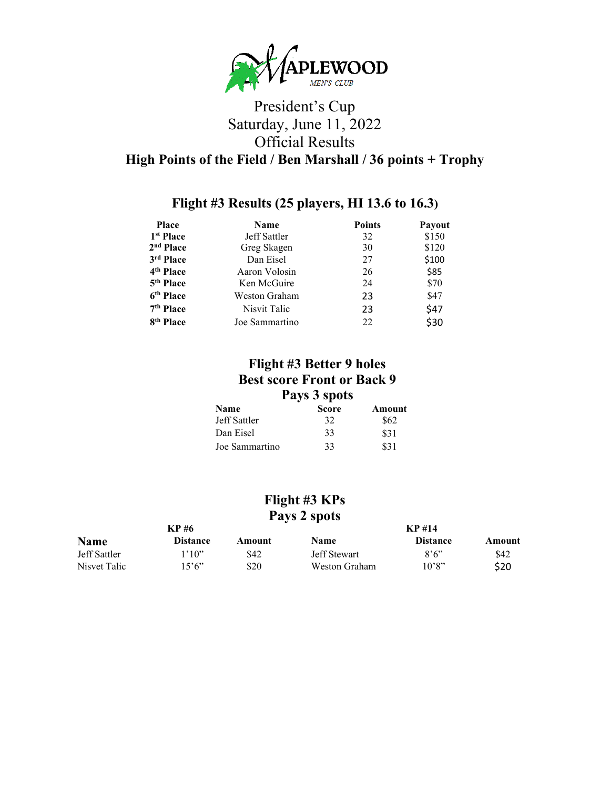

### **Flight #3 Results (25 players, HI 13.6 to 16.3)**

| <b>Place</b>          | Name           | <b>Points</b> | Payout |
|-----------------------|----------------|---------------|--------|
| 1 <sup>st</sup> Place | Jeff Sattler   | 32            | \$150  |
| 2 <sup>nd</sup> Place | Greg Skagen    | 30            | \$120  |
| 3rd Place             | Dan Eisel      | 27            | \$100  |
| 4 <sup>th</sup> Place | Aaron Volosin  | 26            | \$85   |
| 5 <sup>th</sup> Place | Ken McGuire    | 24            | \$70   |
| 6 <sup>th</sup> Place | Weston Graham  | 23            | \$47   |
| 7 <sup>th</sup> Place | Nisvit Talic   | 23            | \$47   |
| 8 <sup>th</sup> Place | Joe Sammartino | 22            | \$30   |

#### **Flight #3 Better 9 holes Best score Front or Back 9 Pays 3 spots**

| Name           | <b>Score</b> | Amount |
|----------------|--------------|--------|
| Jeff Sattler   | 32           | \$62.  |
| Dan Eisel      | 33           | \$31   |
| Joe Sammartino | 33           | \$31   |

#### **Flight #3 KPs Pays 2 spots**

| KP #6        |                 | <b>KP#14</b> |                     |                 |        |
|--------------|-----------------|--------------|---------------------|-----------------|--------|
| <b>Name</b>  | <b>Distance</b> | Amount       | <b>Name</b>         | <b>Distance</b> | Amount |
| Jeff Sattler | 1'10"           | \$42         | <b>Jeff Stewart</b> | 8'6''           | \$42   |
| Nisvet Talic | 15'6"           | \$20         | Weston Graham       | 10'8"           | \$20   |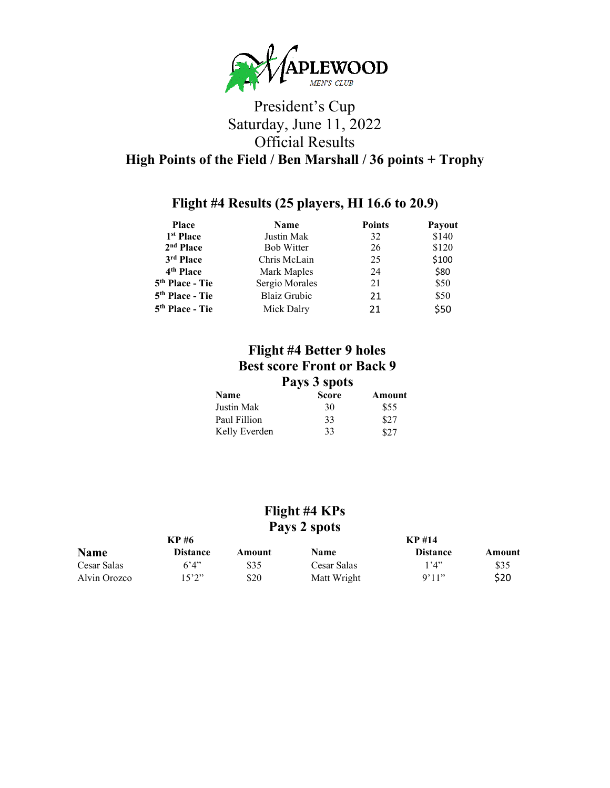

### **Flight #4 Results (25 players, HI 16.6 to 20.9)**

| Place                       | <b>Name</b>         | <b>Points</b> | Payout |
|-----------------------------|---------------------|---------------|--------|
| 1 <sup>st</sup> Place       | Justin Mak          | 32            | \$140  |
| 2 <sup>nd</sup> Place       | <b>Bob Witter</b>   | 26            | \$120  |
| 3rd Place                   | Chris McLain        | 25            | \$100  |
| 4 <sup>th</sup> Place       | Mark Maples         | 24            | \$80   |
| 5 <sup>th</sup> Place - Tie | Sergio Morales      | 21            | \$50   |
| 5 <sup>th</sup> Place - Tie | <b>Blaiz Grubic</b> | 21            | \$50   |
| 5 <sup>th</sup> Place - Tie | Mick Dalry          | 21            | \$50   |

#### **Flight #4 Better 9 holes Best score Front or Back 9 Pays 3 spots**

| <b>Name</b>   | <b>Score</b> | Amount |
|---------------|--------------|--------|
| Justin Mak    | 30           | \$55   |
| Paul Fillion  | 33           | \$27   |
| Kelly Everden | 33           | \$27   |

#### **Flight #4 KPs Pays 2 spots**

| KP #6        |                 | <b>KP#14</b> |             |                 |        |
|--------------|-----------------|--------------|-------------|-----------------|--------|
| <b>Name</b>  | <b>Distance</b> | Amount       | Name        | <b>Distance</b> | Amount |
| Cesar Salas  | 6'4"            | \$35         | Cesar Salas | '4"             | \$35   |
| Alvin Orozco | l 5'2''         | \$20         | Matt Wright | 9'11"           | \$20   |